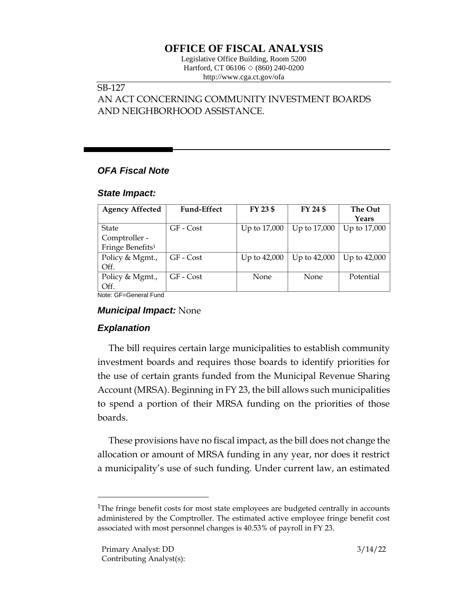# **OFFICE OF FISCAL ANALYSIS**

Legislative Office Building, Room 5200 Hartford, CT 06106  $\Diamond$  (860) 240-0200 http://www.cga.ct.gov/ofa

### SB-127

AN ACT CONCERNING COMMUNITY INVESTMENT BOARDS AND NEIGHBORHOOD ASSISTANCE.

## *OFA Fiscal Note*

#### *State Impact:*

| <b>Fund-Effect</b> | FY 23 \$     | FY 24 \$     | The Out<br>Years |
|--------------------|--------------|--------------|------------------|
|                    |              |              |                  |
| GF - Cost          | Up to 17,000 | Up to 17,000 | Up to 17,000     |
|                    |              |              |                  |
|                    |              |              |                  |
| GF - Cost          | Up to 42,000 | Up to 42,000 | Up to 42,000     |
|                    |              |              |                  |
| GF - Cost          | None         | <b>None</b>  | Potential        |
|                    |              |              |                  |
|                    |              |              |                  |

Note: GF=General Fund

## *Municipal Impact:* None

## *Explanation*

The bill requires certain large municipalities to establish community investment boards and requires those boards to identify priorities for the use of certain grants funded from the Municipal Revenue Sharing Account (MRSA). Beginning in FY 23, the bill allows such municipalities to spend a portion of their MRSA funding on the priorities of those boards.

These provisions have no fiscal impact, as the bill does not change the allocation or amount of MRSA funding in any year, nor does it restrict a municipality's use of such funding. Under current law, an estimated

<sup>&</sup>lt;sup>1</sup>The fringe benefit costs for most state employees are budgeted centrally in accounts administered by the Comptroller. The estimated active employee fringe benefit cost associated with most personnel changes is 40.53% of payroll in FY 23.